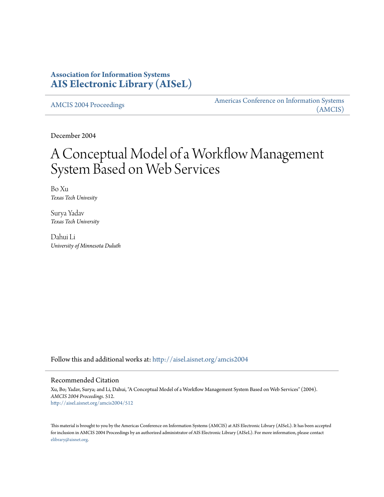### **Association for Information Systems [AIS Electronic Library \(AISeL\)](http://aisel.aisnet.org?utm_source=aisel.aisnet.org%2Famcis2004%2F512&utm_medium=PDF&utm_campaign=PDFCoverPages)**

[AMCIS 2004 Proceedings](http://aisel.aisnet.org/amcis2004?utm_source=aisel.aisnet.org%2Famcis2004%2F512&utm_medium=PDF&utm_campaign=PDFCoverPages)

[Americas Conference on Information Systems](http://aisel.aisnet.org/amcis?utm_source=aisel.aisnet.org%2Famcis2004%2F512&utm_medium=PDF&utm_campaign=PDFCoverPages) [\(AMCIS\)](http://aisel.aisnet.org/amcis?utm_source=aisel.aisnet.org%2Famcis2004%2F512&utm_medium=PDF&utm_campaign=PDFCoverPages)

December 2004

# A Conceptual Model of a Workflow Management System Based on Web Services

Bo Xu *Texas Tech Univesity*

Surya Yadav *Texas Tech University*

Dahui Li *University of Minnesota Duluth*

Follow this and additional works at: [http://aisel.aisnet.org/amcis2004](http://aisel.aisnet.org/amcis2004?utm_source=aisel.aisnet.org%2Famcis2004%2F512&utm_medium=PDF&utm_campaign=PDFCoverPages)

#### Recommended Citation

Xu, Bo; Yadav, Surya; and Li, Dahui, "A Conceptual Model of a Workflow Management System Based on Web Services" (2004). *AMCIS 2004 Proceedings*. 512. [http://aisel.aisnet.org/amcis2004/512](http://aisel.aisnet.org/amcis2004/512?utm_source=aisel.aisnet.org%2Famcis2004%2F512&utm_medium=PDF&utm_campaign=PDFCoverPages)

This material is brought to you by the Americas Conference on Information Systems (AMCIS) at AIS Electronic Library (AISeL). It has been accepted for inclusion in AMCIS 2004 Proceedings by an authorized administrator of AIS Electronic Library (AISeL). For more information, please contact [elibrary@aisnet.org.](mailto:elibrary@aisnet.org%3E)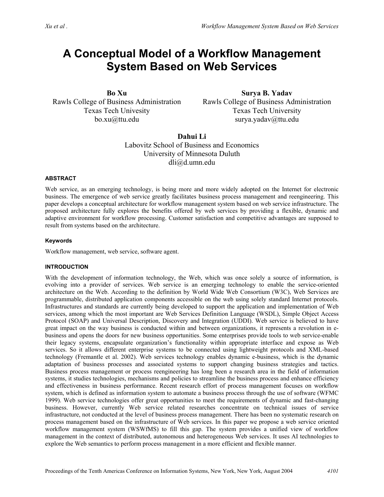## **A Conceptual Model of a Workflow Management System Based on Web Services**

**Bo Xu**  Rawls College of Business Administration Texas Tech Univesity bo.xu@ttu.edu

**Surya B. Yadav**  Rawls College of Business Administration Texas Tech University surya.yadav@ttu.edu

**Dahui Li**  Labovitz School of Business and Economics University of Minnesota Duluth dli@d.umn.edu

#### **ABSTRACT**

Web service, as an emerging technology, is being more and more widely adopted on the Internet for electronic business. The emergence of web service greatly facilitates business process management and reengineering. This paper develops a conceptual architecture for workflow management system based on web service infrastructure. The proposed architecture fully explores the benefits offered by web services by providing a flexible, dynamic and adaptive environment for workflow processing. Customer satisfaction and competitive advantages are supposed to result from systems based on the architecture.

#### **Keywords**

Workflow management, web service, software agent.

#### **INTRODUCTION**

With the development of information technology, the Web, which was once solely a source of information, is evolving into a provider of services. Web service is an emerging technology to enable the service-oriented architecture on the Web. According to the definition by World Wide Web Consortium (W3C), Web Services are programmable, distributed application components accessible on the web using solely standard Internet protocols. Infrastructures and standards are currently being developed to support the application and implementation of Web services, among which the most important are Web Services Definition Language (WSDL), Simple Object Access Protocol (SOAP) and Universal Description, Discovery and Integration (UDDI). Web service is believed to have great impact on the way business is conducted within and between organizations, it represents a revolution in ebusiness and opens the doors for new business opportunities. Some enterprises provide tools to web service-enable their legacy systems, encapsulate organization's functionality within appropriate interface and expose as Web services. So it allows different enterprise systems to be connected using lightweight protocols and XML-based technology (Fremantle et al. 2002). Web services technology enables dynamic e-business, which is the dynamic adaptation of business processes and associated systems to support changing business strategies and tactics. Business process management or process reengineering has long been a research area in the field of information systems, it studies technologies, mechanisms and policies to streamline the business process and enhance efficiency and effectiveness in business performance. Recent research effort of process management focuses on workflow system, which is defined as information system to automate a business process through the use of software (WFMC 1999). Web service technologies offer great opportunities to meet the requirements of dynamic and fast-changing business. However, currently Web service related researches concentrate on technical issues of service infrastructure, not conducted at the level of business process management. There has been no systematic research on process management based on the infrastructure of Web services. In this paper we propose a web service oriented workflow management system (WSWfMS) to fill this gap. The system provides a unified view of workflow management in the context of distributed, autonomous and heterogeneous Web services. It uses AI technologies to explore the Web semantics to perform process management in a more efficient and flexible manner.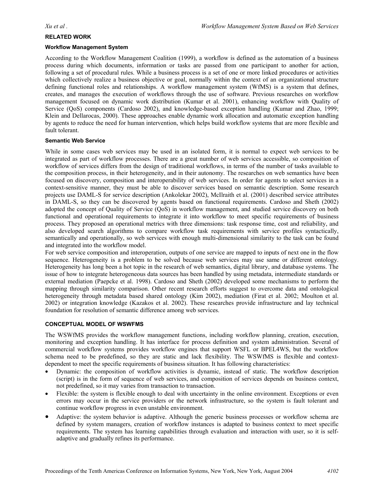#### **RELATED WORK**

#### **Workflow Management System**

According to the Workflow Management Coalition (1999), a workflow is defined as the automation of a business process during which documents, information or tasks are passed from one participant to another for action, following a set of procedural rules. While a business process is a set of one or more linked procedures or activities which collectively realize a business objective or goal, normally within the context of an organizational structure defining functional roles and relationships. A workflow management system (WfMS) is a system that defines, creates, and manages the execution of workflows through the use of software. Previous researches on workflow management focused on dynamic work distribution (Kumar et al. 2001), enhancing workflow with Quality of Service (QoS) components (Cardoso 2002), and knowledge-based exception handling (Kumar and Zhao, 1999; Klein and Dellarocas, 2000). These approaches enable dynamic work allocation and automatic exception handling by agents to reduce the need for human intervention, which helps build workflow systems that are more flexible and fault tolerant.

#### **Semantic Web Service**

While in some cases web services may be used in an isolated form, it is normal to expect web services to be integrated as part of workflow processes. There are a great number of web services accessible, so composition of workflow of services differs from the design of traditional workflows, in terms of the number of tasks available to the composition process, in their heterogeneity, and in their autonomy. The researches on web semantics have been focused on discovery, composition and interoperability of web services. In order for agents to select services in a context-sensitive manner, they must be able to discover services based on semantic description. Some research projects use DAML-S for service description (Ankolekar 2002), McIlraith et al. (2001) described service attributes in DAML-S, so they can be discovered by agents based on functional requirements. Cardoso and Sheth (2002) adopted the concept of Quality of Service (QoS) in workflow management, and studied service discovery on both functional and operational requirements to integrate it into workflow to meet specific requirements of business process. They proposed an operational metrics with three dimensions: task response time, cost and reliability, and also developed search algorithms to compare workflow task requirements with service profiles syntactically, semantically and operationally, so web services with enough multi-dimensional similarity to the task can be found and integrated into the workflow model.

For web service composition and interoperation, outputs of one service are mapped to inputs of next one in the flow sequence. Heterogeneity is a problem to be solved because web services may use same or different ontology. Heterogeneity has long been a hot topic in the research of web semantics, digital library, and database systems. The issue of how to integrate heterogeneous data sources has been handled by using metadata, intermediate standards or external mediation (Paepcke et al. 1998). Cardoso and Sheth (2002) developed some mechanisms to perform the mapping through similarity comparison. Other recent research efforts suggest to overcome data and ontological heterogeneity through metadata based shared ontology (Kim 2002), mediation (Firat et al. 2002; Moulton et al. 2002) or integration knowledge (Kazakos et al. 2002). These researches provide infrastructure and lay technical foundation for resolution of semantic difference among web services.

#### **CONCEPTUAL MODEL OF WSWFMS**

The WSWfMS provides the workflow management functions, including workflow planning, creation, execution, monitoring and exception handling. It has interface for process definition and system administration. Several of commercial workflow systems provides workflow engines that support WSFL or BPEL4WS, but the workflow schema need to be predefined, so they are static and lack flexibility. The WSWfMS is flexible and contextdependent to meet the specific requirements of business situation. It has following characteristics:

- Dynamic: the composition of workflow activities is dynamic, instead of static. The workflow description (script) is in the form of sequence of web services, and composition of services depends on business context, not predefined, so it may varies from transaction to transaction.
- Flexible: the system is flexible enough to deal with uncertainty in the online environment. Exceptions or even errors may occur in the service providers or the network infrastructure, so the system is fault tolerant and continue workflow progress in even unstable environment.
- Adaptive: the system behavior is adaptive. Although the generic business processes or workflow schema are defined by system managers, creation of workflow instances is adapted to business context to meet specific requirements. The system has learning capabilities through evaluation and interaction with user, so it is selfadaptive and gradually refines its performance.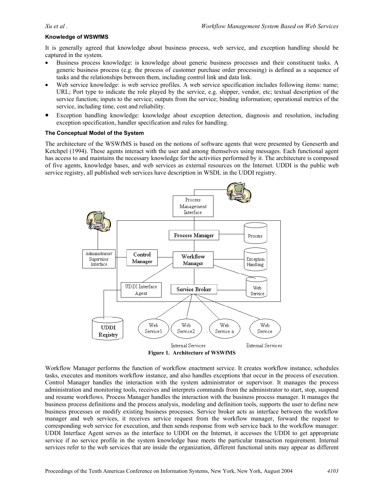#### **Knowledge of WSWfMS**

It is generally agreed that knowledge about business process, web service, and exception handling should be captured in the system.

- Business process knowledge: is knowledge about generic business processes and their constituent tasks. A generic business process (e.g. the process of customer purchase order processing) is defined as a sequence of tasks and the relationships between them, including control link and data link.
- Web service knowledge: is web service profiles. A web service specification includes following items: name; URL; Port type to indicate the role played by the service, e.g. shipper, vendor, etc; textual description of the service function; inputs to the service; outputs from the service; binding information; operational metrics of the service, including time, cost and reliability.
- Exception handling knowledge: knowledge about exception detection, diagnosis and resolution, including exception specification, handler specification and rules for handling.

#### **The Conceptual Model of the System**

The architecture of the WSWfMS is based on the notions of software agents that were presented by Geneserth and Ketchpel (1994). These agents interact with the user and among themselves using messages. Each functional agent has access to and maintains the necessary knowledge for the activities performed by it. The architecture is composed of five agents, knowledge bases, and web services as external resources on the Internet. UDDI is the public web service registry, all published web services have description in WSDL in the UDDI registry.



**Figure 1. Architecture of WSWfMS** 

Workflow Manager performs the function of workflow enactment service. It creates workflow instance, schedules tasks, executes and monitors workflow instance, and also handles exceptions that occur in the process of execution. Control Manager handles the interaction with the system administrator or supervisor. It manages the process administration and monitoring tools, receives and interprets commands from the administrator to start, stop, suspend and resume workflows. Process Manager handles the interaction with the business process manager. It manages the business process definitions and the process analysis, modeling and definition tools, supports the user to define new business processes or modify existing business processes. Service broker acts as interface between the workflow manager and web services, it receives service request from the workflow manager, forward the request to corresponding web service for execution, and then sends response from web service back to the workflow manager. UDDI Interface Agent serves as the interface to UDDI on the Internet, it accesses the UDDI to get appropriate service if no service profile in the system knowledge base meets the particular transaction requirement. Internal services refer to the web services that are inside the organization, different functional units may appear as different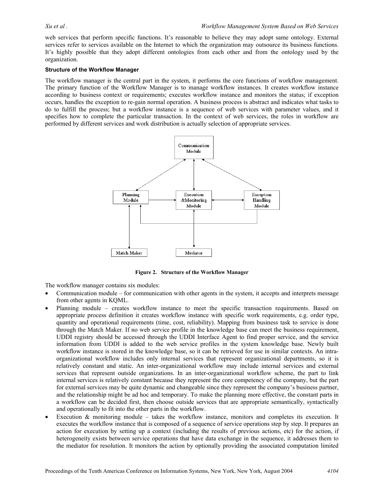web services that perform specific functions. It's reasonable to believe they may adopt same ontology. External services refer to services available on the Internet to which the organization may outsource its business functions. It's highly possible that they adopt different ontologies from each other and from the ontology used by the organization.

#### **Structure of the Workflow Manager**

The workflow manager is the central part in the system, it performs the core functions of workflow management. The primary function of the Workflow Manager is to manage workflow instances. It creates workflow instance according to business context or requirements; executes workflow instance and monitors the status; if exception occurs, handles the exception to re-gain normal operation. A business process is abstract and indicates what tasks to do to fulfill the process; but a workflow instance is a sequence of web services with parameter values, and it specifies how to complete the particular transaction. In the context of web services, the roles in workflow are performed by different services and work distribution is actually selection of appropriate services.



**Figure 2. Structure of the Workflow Manager** 

The workflow manager contains six modules:

- Communication module for communication with other agents in the system, it accepts and interprets message from other agents in KQML.
- Planning module creates workflow instance to meet the specific transaction requirements. Based on appropriate process definition it creates workflow instance with specific work requirements, e.g. order type, quantity and operational requirements (time, cost, reliability). Mapping from business task to service is done through the Match Maker. If no web service profile in the knowledge base can meet the business requirement, UDDI registry should be accessed through the UDDI Interface Agent to find proper service, and the service information from UDDI is added to the web service profiles in the system knowledge base. Newly built workflow instance is stored in the knowledge base, so it can be retrieved for use in similar contexts. An intraorganizational workflow includes only internal services that represent organizational departments, so it is relatively constant and static. An inter-organizational workflow may include internal services and external services that represent outside organizations. In an inter-organizational workflow scheme, the part to link internal services is relatively constant because they represent the core competency of the company, but the part for external services may be quite dynamic and changeable since they represent the company's business partner, and the relationship might be ad hoc and temporary. To make the planning more effective, the constant parts in a workflow can be decided first, then choose outside services that are appropriate semantically, syntactically and operationally to fit into the other parts in the workflow.
- Execution  $\&$  monitoring module takes the workflow instance, monitors and completes its execution. It executes the workflow instance that is composed of a sequence of service operations step by step. It prepares an action for execution by setting up a context (including the results of previous actions, etc) for the action, if heterogeneity exists between service operations that have data exchange in the sequence, it addresses them to the mediator for resolution. It monitors the action by optionally providing the associated computation limited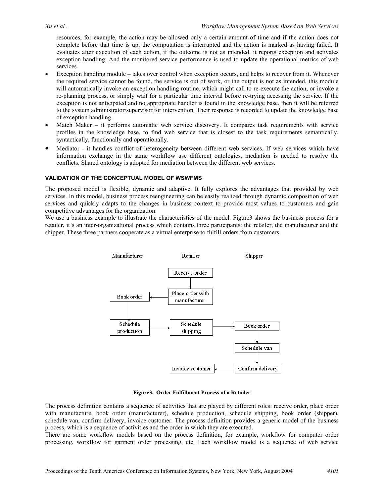resources, for example, the action may be allowed only a certain amount of time and if the action does not complete before that time is up, the computation is interrupted and the action is marked as having failed. It evaluates after execution of each action, if the outcome is not as intended, it reports exception and activates exception handling. And the monitored service performance is used to update the operational metrics of web services.

- Exception handling module takes over control when exception occurs, and helps to recover from it. Whenever the required service cannot be found, the service is out of work, or the output is not as intended, this module will automatically invoke an exception handling routine, which might call to re-execute the action, or invoke a re-planning process, or simply wait for a particular time interval before re-trying accessing the service. If the exception is not anticipated and no appropriate handler is found in the knowledge base, then it will be referred to the system administrator/supervisor for intervention. Their response is recorded to update the knowledge base of exception handling.
- Match Maker it performs automatic web service discovery. It compares task requirements with service profiles in the knowledge base, to find web service that is closest to the task requirements semantically, syntactically, functionally and operationally.
- Mediator it handles conflict of heterogeneity between different web services. If web services which have information exchange in the same workflow use different ontologies, mediation is needed to resolve the conflicts. Shared ontology is adopted for mediation between the different web services.

#### **VALIDATION OF THE CONCEPTUAL MODEL OF WSWFMS**

The proposed model is flexible, dynamic and adaptive. It fully explores the advantages that provided by web services. In this model, business process reengineering can be easily realized through dynamic composition of web services and quickly adapts to the changes in business context to provide most values to customers and gain competitive advantages for the organization.

We use a business example to illustrate the characteristics of the model. Figure3 shows the business process for a retailer, it's an inter-organizational process which contains three participants: the retailer, the manufacturer and the shipper. These three partners cooperate as a virtual enterprise to fulfill orders from customers.



**Figure3. Order Fulfillment Process of a Retailer** 

The process definition contains a sequence of activities that are played by different roles: receive order, place order with manufacture, book order (manufacturer), schedule production, schedule shipping, book order (shipper), schedule van, confirm delivery, invoice customer. The process definition provides a generic model of the business process, which is a sequence of activities and the order in which they are executed.

There are some workflow models based on the process definition, for example, workflow for computer order processing, workflow for garment order processing, etc. Each workflow model is a sequence of web service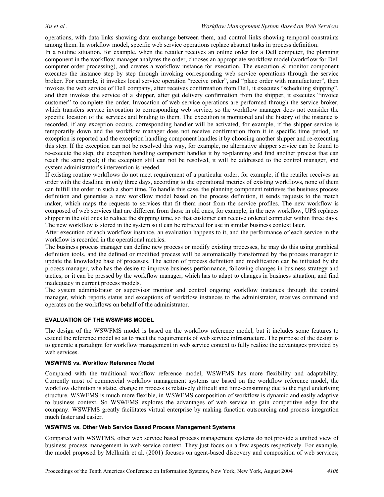operations, with data links showing data exchange between them, and control links showing temporal constraints among them. In workflow model, specific web service operations replace abstract tasks in process definition.

In a routine situation, for example, when the retailer receives an online order for a Dell computer, the planning component in the workflow manager analyzes the order, chooses an appropriate workflow model (workflow for Dell computer order processing), and creates a workflow instance for execution. The execution & monitor component executes the instance step by step through invoking corresponding web service operations through the service broker. For example, it invokes local service operation "receive order", and "place order with manufacturer", then invokes the web service of Dell company, after receives confirmation from Dell, it executes "scheduling shipping", and then invokes the service of a shipper, after get delivery confirmation from the shipper, it executes "invoice customer" to complete the order. Invocation of web service operations are performed through the service broker, which transfers service invocation to corresponding web service, so the workflow manager does not consider the specific location of the services and binding to them. The execution is monitored and the history of the instance is recorded, if any exception occurs, corresponding handler will be activated, for example, if the shipper service is temporarily down and the workflow manager does not receive confirmation from it in specific time period, an exception is reported and the exception handling component handles it by choosing another shipper and re-executing this step. If the exception can not be resolved this way, for example, no alternative shipper service can be found to re-execute the step, the exception handling component handles it by re-planning and find another process that can reach the same goal; if the exception still can not be resolved, it will be addressed to the control manager, and system administrator's intervention is needed.

If existing routine workflows do not meet requirement of a particular order, for example, if the retailer receives an order with the deadline in only three days, according to the operational metrics of existing workflows, none of them can fulfill the order in such a short time. To handle this case, the planning component retrieves the business process definition and generates a new workflow model based on the process definition, it sends requests to the match maker, which maps the requests to services that fit them most from the service profiles. The new workflow is composed of web services that are different from those in old ones, for example, in the new workflow, UPS replaces shipper in the old ones to reduce the shipping time, so that customer can receive ordered computer within three days. The new workflow is stored in the system so it can be retrieved for use in similar business context later.

After execution of each workflow instance, an evaluation happens to it, and the performance of each service in the workflow is recorded in the operational metrics.

The business process manager can define new process or modify existing processes, he may do this using graphical definition tools, and the defined or modified process will be automatically transformed by the process manager to update the knowledge base of processes. The action of process definition and modification can be initiated by the process manager, who has the desire to improve business performance, following changes in business strategy and tactics, or it can be pressed by the workflow manager, which has to adapt to changes in business situation, and find inadequacy in current process models.

The system administrator or supervisor monitor and control ongoing workflow instances through the control manager, which reports status and exceptions of workflow instances to the administrator, receives command and operates on the workflows on behalf of the administrator.

#### **EVALUATION OF THE WSWFMS MODEL**

The design of the WSWFMS model is based on the workflow reference model, but it includes some features to extend the reference model so as to meet the requirements of web service infrastructure. The purpose of the design is to generate a paradigm for workflow management in web service context to fully realize the advantages provided by web services.

#### **WSWFMS vs. Workflow Reference Model**

Compared with the traditional workflow reference model, WSWFMS has more flexibility and adaptability. Currently most of commercial workflow management systems are based on the workflow reference model, the workflow definition is static, change in process is relatively difficult and time-consuming due to the rigid underlying structure. WSWFMS is much more flexible, in WSWFMS composition of workflow is dynamic and easily adaptive to business context. So WSWFMS explores the advantages of web service to gain competitive edge for the company. WSWFMS greatly facilitates virtual enterprise by making function outsourcing and process integration much faster and easier.

#### **WSWFMS vs. Other Web Service Based Process Management Systems**

Compared with WSWFMS, other web service based process management systems do not provide a unified view of business process management in web service context. They just focus on a few aspects respectively. For example, the model proposed by McIlraith et al. (2001) focuses on agent-based discovery and composition of web services;